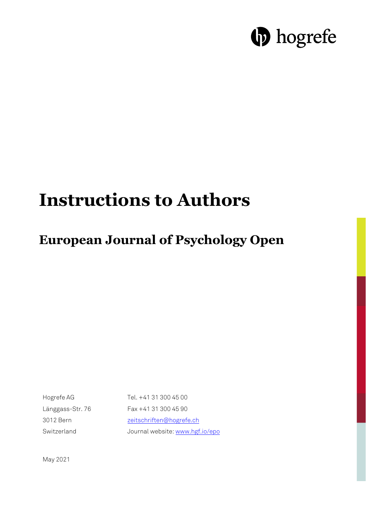# **D** hogrefe

## **Instructions to Authors**

### **European Journal of Psychology Open**

Hogrefe AG Länggass-Str. 76 3012 Bern Switzerland

Tel. +41 31 300 45 00 Fax +41 31 300 45 90 zeitschriften@hogrefe.ch Journal website: www.hgf.io/epo

May 2021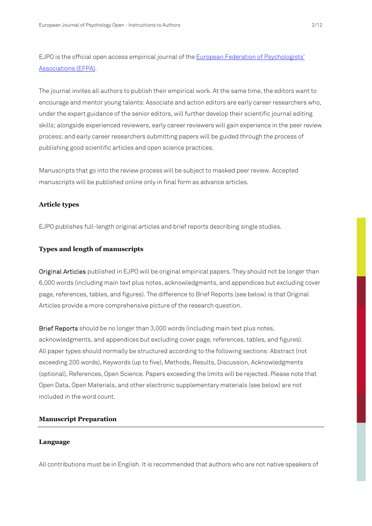EJPO is the official open access empirical journal of the European Federation of Psychologists' Associations (EFPA).

The journal invites all authors to publish their empirical work. At the same time, the editors want to encourage and mentor young talents: Associate and action editors are early career researchers who, under the expert guidance of the senior editors, will further develop their scientific journal editing skills; alongside experienced reviewers, early career reviewers will gain experience in the peer review process; and early career researchers submitting papers will be guided through the process of publishing good scientific articles and open science practices.

Manuscripts that go into the review process will be subject to masked peer review. Accepted manuscripts will be published online only in final form as advance articles.

#### **Article types**

EJPO publishes full-length original articles and brief reports describing single studies.

#### **Types and length of manuscripts**

Original Articles published in EJPO will be original empirical papers. They should not be longer than 6,000 words (including main text plus notes, acknowledgments, and appendices but excluding cover page, references, tables, and figures). The difference to Brief Reports (see below) is that Original Articles provide a more comprehensive picture of the research question.

Brief Reports should be no longer than 3,000 words (including main text plus notes, acknowledgments, and appendices but excluding cover page, references, tables, and figures). All paper types should normally be structured according to the following sections: Abstract (not exceeding 200 words), Keywords (up to five), Methods, Results, Discussion, Acknowledgments (optional), References, Open Science. Papers exceeding the limits will be rejected. Please note that Open Data, Open Materials, and other electronic supplementary materials (see below) are not included in the word count.

#### **Manuscript Preparation**

#### **Language**

All contributions must be in English. It is recommended that authors who are not native speakers of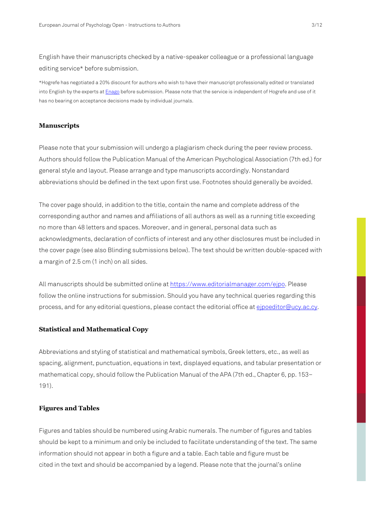English have their manuscripts checked by a native-speaker colleague or a professional language editing service\* before submission.

\*Hogrefe has negotiated a 20% discount for authors who wish to have their manuscript professionally edited or translated into English by the experts at **Enago** before submission. Please note that the service is independent of Hogrefe and use of it has no bearing on acceptance decisions made by individual journals.

#### **Manuscripts**

Please note that your submission will undergo a plagiarism check during the peer review process. Authors should follow the Publication Manual of the American Psychological Association (7th ed.) for general style and layout. Please arrange and type manuscripts accordingly. Nonstandard abbreviations should be defined in the text upon first use. Footnotes should generally be avoided.

The cover page should, in addition to the title, contain the name and complete address of the corresponding author and names and affiliations of all authors as well as a running title exceeding no more than 48 letters and spaces. Moreover, and in general, personal data such as acknowledgments, declaration of conflicts of interest and any other disclosures must be included in the cover page (see also Blinding submissions below). The text should be written double-spaced with a margin of 2.5 cm (1 inch) on all sides.

All manuscripts should be submitted online at https://www.editorialmanager.com/ejpo. Please follow the online instructions for submission. Should you have any technical queries regarding this process, and for any editorial questions, please contact the editorial office at eipoeditor@ucy.ac.cy.

#### **Statistical and Mathematical Copy**

Abbreviations and styling of statistical and mathematical symbols, Greek letters, etc., as well as spacing, alignment, punctuation, equations in text, displayed equations, and tabular presentation or mathematical copy, should follow the Publication Manual of the APA (7th ed., Chapter 6, pp. 153– 191).

#### **Figures and Tables**

Figures and tables should be numbered using Arabic numerals. The number of figures and tables should be kept to a minimum and only be included to facilitate understanding of the text. The same information should not appear in both a figure and a table. Each table and figure must be cited in the text and should be accompanied by a legend. Please note that the journal's online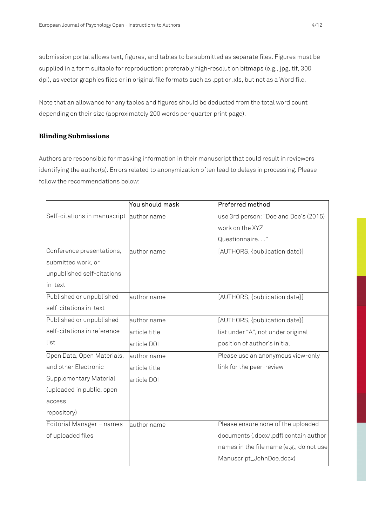submission portal allows text, figures, and tables to be submitted as separate files. Figures must be supplied in a form suitable for reproduction: preferably high-resolution bitmaps (e.g., jpg, tif, 300 dpi), as vector graphics files or in original file formats such as .ppt or .xls, but not as a Word file.

Note that an allowance for any tables and figures should be deducted from the total word count depending on their size (approximately 200 words per quarter print page).

#### **Blinding Submissions**

Authors are responsible for masking information in their manuscript that could result in reviewers identifying the author(s). Errors related to anonymization often lead to delays in processing. Please follow the recommendations below:

|                                          | You should mask | Preferred method                         |
|------------------------------------------|-----------------|------------------------------------------|
| Self-citations in manuscript author name |                 | use 3rd person: "Doe and Doe's (2015)    |
|                                          |                 | work on the XYZ                          |
|                                          |                 | Questionnaire"                           |
| Conference presentations,                | author name     | [AUTHORS, {publication date}]            |
| submitted work, or                       |                 |                                          |
| unpublished self-citations               |                 |                                          |
| in-text                                  |                 |                                          |
| Published or unpublished                 | author name     | [AUTHORS, {publication date}]            |
| self-citations in-text                   |                 |                                          |
| Published or unpublished                 | author name     | [AUTHORS, {publication date}]            |
| self-citations in reference              | article title   | list under "A", not under original       |
| list                                     | article DOI     | position of author's initial             |
| Open Data, Open Materials,               | author name     | Please use an anonymous view-only        |
| and other Electronic                     | article title   | link for the peer-review                 |
| Supplementary Material                   | article DOI     |                                          |
| (uploaded in public, open                |                 |                                          |
| access                                   |                 |                                          |
| repository)                              |                 |                                          |
| Editorial Manager - names                | author name     | Please ensure none of the uploaded       |
| of uploaded files                        |                 | documents (.docx/.pdf) contain author    |
|                                          |                 | names in the file name (e.g., do not use |
|                                          |                 | Manuscript_JohnDoe.docx)                 |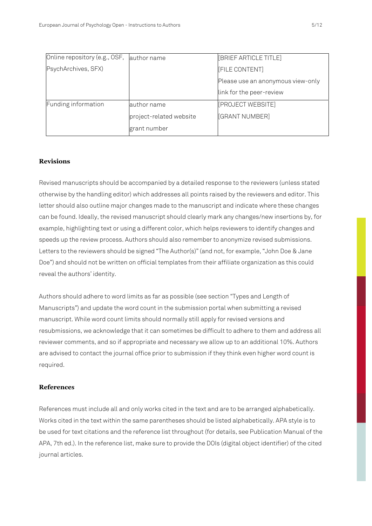| Online repository (e.g., OSF, | author name             | [BRIEF ARTICLE TITLE]             |
|-------------------------------|-------------------------|-----------------------------------|
| PsychArchives, SFX)           |                         | <b>FILE CONTENT</b>               |
|                               |                         | Please use an anonymous view-only |
|                               |                         | link for the peer-review          |
| Funding information           | author name             | [PROJECT WEBSITE]                 |
|                               | project-related website | <b>[GRANT NUMBER]</b>             |
|                               | grant number            |                                   |

#### **Revisions**

Revised manuscripts should be accompanied by a detailed response to the reviewers (unless stated otherwise by the handling editor) which addresses all points raised by the reviewers and editor. This letter should also outline major changes made to the manuscript and indicate where these changes can be found. Ideally, the revised manuscript should clearly mark any changes/new insertions by, for example, highlighting text or using a different color, which helps reviewers to identify changes and speeds up the review process. Authors should also remember to anonymize revised submissions. Letters to the reviewers should be signed "The Author(s)" (and not, for example, "John Doe & Jane Doe") and should not be written on official templates from their affiliate organization as this could reveal the authors' identity.

Authors should adhere to word limits as far as possible (see section "Types and Length of Manuscripts") and update the word count in the submission portal when submitting a revised manuscript. While word count limits should normally still apply for revised versions and resubmissions, we acknowledge that it can sometimes be difficult to adhere to them and address all reviewer comments, and so if appropriate and necessary we allow up to an additional 10%. Authors are advised to contact the journal office prior to submission if they think even higher word count is required.

#### **References**

References must include all and only works cited in the text and are to be arranged alphabetically. Works cited in the text within the same parentheses should be listed alphabetically. APA style is to be used for text citations and the reference list throughout (for details, see Publication Manual of the APA, 7th ed.). In the reference list, make sure to provide the DOIs (digital object identifier) of the cited journal articles.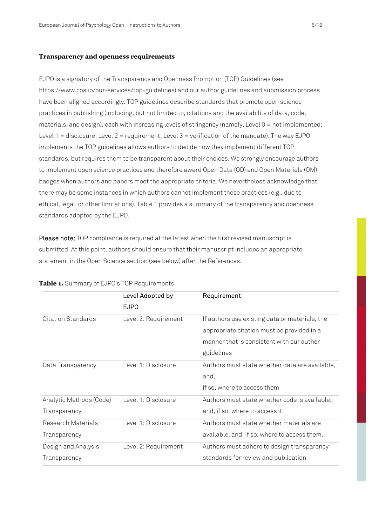#### **Transparency and openness requirements**

EJPO is a signatory of the Transparency and Openness Promotion (TOP) Guidelines (see https://www.cos.io/our-services/top-guidelines) and our author guidelines and submission process have been aligned accordingly. TOP guidelines describe standards that promote open science practices in publishing (including, but not limited to, citations and the availability of data, code, materials, and design), each with increasing levels of stringency (namely, Level 0 = not implemented; Level  $1 =$  disclosure; Level  $2 =$  requirement; Level  $3 =$  verification of the mandate). The way EJPO implements the TOP guidelines allows authors to decide how they implement different TOP standards, but requires them to be transparent about their choices. We strongly encourage authors to implement open science practices and therefore award Open Data (OD) and Open Materials (OM) badges when authors and papers meet the appropriate criteria. We nevertheless acknowledge that there may be some instances in which authors cannot implement these practices (e.g., due to ethical, legal, or other limitations). Table 1 provides a summary of the transparency and openness standards adopted by the EJPO.

Please note: TOP compliance is required at the latest when the first revised manuscript is submitted. At this point, authors should ensure that their manuscript includes an appropriate statement in the Open Science section (see below) after the References.

|                         | Level Adopted by     | Requirement                                    |
|-------------------------|----------------------|------------------------------------------------|
|                         | <b>EJPO</b>          |                                                |
| Citation Standards      | Level 2: Requirement | If authors use existing data or materials, the |
|                         |                      | appropriate citation must be provided in a     |
|                         |                      | manner that is consistent with our author      |
|                         |                      | guidelines                                     |
| Data Transparency       | Level 1: Disclosure  | Authors must state whether data are available, |
|                         |                      | and,                                           |
|                         |                      | if so, where to access them                    |
| Analytic Methods (Code) | Level 1: Disclosure  | Authors must state whether code is available,  |
| Transparency            |                      | and, if so, where to access it                 |
| Research Materials      | Level 1: Disclosure  | Authors must state whether materials are       |
| Transparency            |                      | available, and, if so, where to access them.   |
| Design and Analysis     | Level 2: Requirement | Authors must adhere to design transparency     |
| Transparency            |                      | standards for review and publication           |

#### **Table 1.** Summary of EJPO's TOP Requirements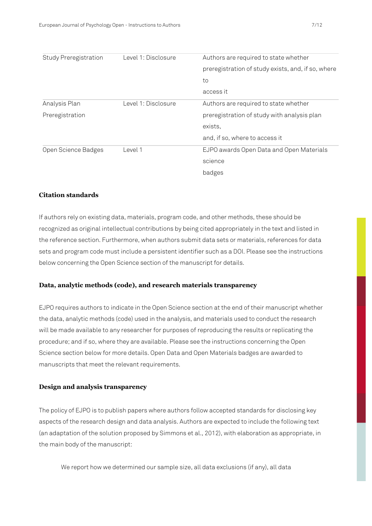| Study Preregistration | Level 1: Disclosure | Authors are required to state whether              |
|-----------------------|---------------------|----------------------------------------------------|
|                       |                     | preregistration of study exists, and, if so, where |
|                       |                     | to                                                 |
|                       |                     | access it                                          |
| Analysis Plan         | Level 1: Disclosure | Authors are required to state whether              |
| Preregistration       |                     | preregistration of study with analysis plan        |
|                       |                     | exists,                                            |
|                       |                     | and, if so, where to access it                     |
| Open Science Badges   | Level 1             | EJPO awards Open Data and Open Materials           |
|                       |                     | science                                            |
|                       |                     | badges                                             |

#### **Citation standards**

If authors rely on existing data, materials, program code, and other methods, these should be recognized as original intellectual contributions by being cited appropriately in the text and listed in the reference section. Furthermore, when authors submit data sets or materials, references for data sets and program code must include a persistent identifier such as a DOI. Please see the instructions below concerning the Open Science section of the manuscript for details.

#### **Data, analytic methods (code), and research materials transparency**

EJPO requires authors to indicate in the Open Science section at the end of their manuscript whether the data, analytic methods (code) used in the analysis, and materials used to conduct the research will be made available to any researcher for purposes of reproducing the results or replicating the procedure; and if so, where they are available. Please see the instructions concerning the Open Science section below for more details. Open Data and Open Materials badges are awarded to manuscripts that meet the relevant requirements.

#### **Design and analysis transparency**

The policy of EJPO is to publish papers where authors follow accepted standards for disclosing key aspects of the research design and data analysis. Authors are expected to include the following text (an adaptation of the solution proposed by Simmons et al., 2012), with elaboration as appropriate, in the main body of the manuscript:

We report how we determined our sample size, all data exclusions (if any), all data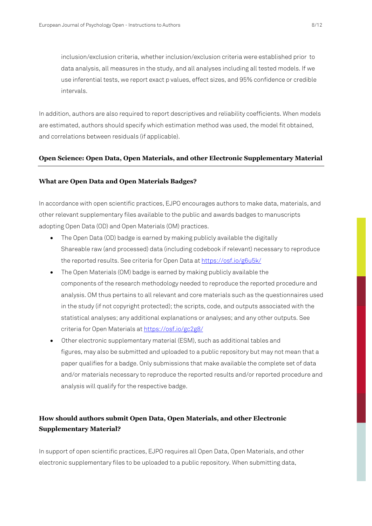inclusion/exclusion criteria, whether inclusion/exclusion criteria were established prior to data analysis, all measures in the study, and all analyses including all tested models. If we use inferential tests, we report exact p values, effect sizes, and 95% confidence or credible intervals.

In addition, authors are also required to report descriptives and reliability coefficients. When models are estimated, authors should specify which estimation method was used, the model fit obtained, and correlations between residuals (if applicable).

#### **Open Science: Open Data, Open Materials, and other Electronic Supplementary Material**

#### **What are Open Data and Open Materials Badges?**

In accordance with open scientific practices, EJPO encourages authors to make data, materials, and other relevant supplementary files available to the public and awards badges to manuscripts adopting Open Data (OD) and Open Materials (OM) practices.

- The Open Data (OD) badge is earned by making publicly available the digitally Shareable raw (and processed) data (including codebook if relevant) necessary to reproduce the reported results. See criteria for Open Data at https://osf.io/g6u5k/
- The Open Materials (OM) badge is earned by making publicly available the components of the research methodology needed to reproduce the reported procedure and analysis. OM thus pertains to all relevant and core materials such as the questionnaires used in the study (if not copyright protected); the scripts, code, and outputs associated with the statistical analyses; any additional explanations or analyses; and any other outputs. See criteria for Open Materials at https://osf.io/gc2g8/
- Other electronic supplementary material (ESM), such as additional tables and figures, may also be submitted and uploaded to a public repository but may not mean that a paper qualifies for a badge. Only submissions that make available the complete set of data and/or materials necessary to reproduce the reported results and/or reported procedure and analysis will qualify for the respective badge.

### **How should authors submit Open Data, Open Materials, and other Electronic Supplementary Material?**

In support of open scientific practices, EJPO requires all Open Data, Open Materials, and other electronic supplementary files to be uploaded to a public repository. When submitting data,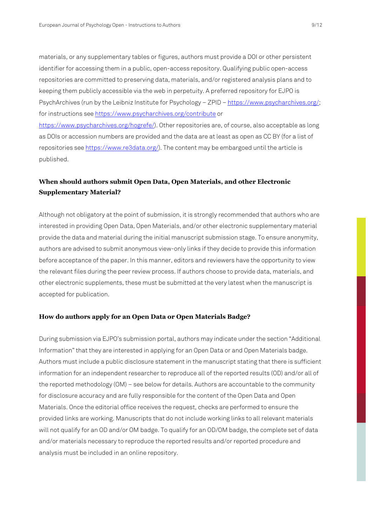materials, or any supplementary tables or figures, authors must provide a DOI or other persistent identifier for accessing them in a public, open-access repository. Qualifying public open-access repositories are committed to preserving data, materials, and/or registered analysis plans and to keeping them publicly accessible via the web in perpetuity. A preferred repository for EJPO is PsychArchives (run by the Leibniz Institute for Psychology – ZPID – https://www.psycharchives.org/; for instructions see https://www.psycharchives.org/contribute or

https://www.psycharchives.org/hogrefe/). Other repositories are, of course, also acceptable as long as DOIs or accession numbers are provided and the data are at least as open as CC BY (for a list of repositories see https://www.re3data.org/). The content may be embargoed until the article is published.

#### **When should authors submit Open Data, Open Materials, and other Electronic Supplementary Material?**

Although not obligatory at the point of submission, it is strongly recommended that authors who are interested in providing Open Data, Open Materials, and/or other electronic supplementary material provide the data and material during the initial manuscript submission stage. To ensure anonymity, authors are advised to submit anonymous view-only links if they decide to provide this information before acceptance of the paper. In this manner, editors and reviewers have the opportunity to view the relevant files during the peer review process. If authors choose to provide data, materials, and other electronic supplements, these must be submitted at the very latest when the manuscript is accepted for publication.

#### **How do authors apply for an Open Data or Open Materials Badge?**

During submission via EJPO's submission portal, authors may indicate under the section "Additional Information" that they are interested in applying for an Open Data or and Open Materials badge. Authors must include a public disclosure statement in the manuscript stating that there is sufficient information for an independent researcher to reproduce all of the reported results (OD) and/or all of the reported methodology (OM) – see below for details. Authors are accountable to the community for disclosure accuracy and are fully responsible for the content of the Open Data and Open Materials. Once the editorial office receives the request, checks are performed to ensure the provided links are working. Manuscripts that do not include working links to all relevant materials will not qualify for an OD and/or OM badge. To qualify for an OD/OM badge, the complete set of data and/or materials necessary to reproduce the reported results and/or reported procedure and analysis must be included in an online repository.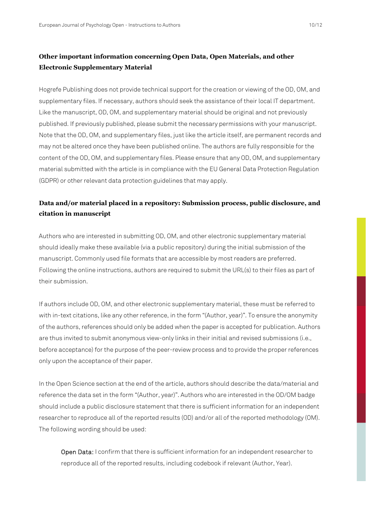#### **Other important information concerning Open Data, Open Materials, and other Electronic Supplementary Material**

Hogrefe Publishing does not provide technical support for the creation or viewing of the OD, OM, and supplementary files. If necessary, authors should seek the assistance of their local IT department. Like the manuscript, OD, OM, and supplementary material should be original and not previously published. If previously published, please submit the necessary permissions with your manuscript. Note that the OD, OM, and supplementary files, just like the article itself, are permanent records and may not be altered once they have been published online. The authors are fully responsible for the content of the OD, OM, and supplementary files. Please ensure that any OD, OM, and supplementary material submitted with the article is in compliance with the EU General Data Protection Regulation (GDPR) or other relevant data protection guidelines that may apply.

### **Data and/or material placed in a repository: Submission process, public disclosure, and citation in manuscript**

Authors who are interested in submitting OD, OM, and other electronic supplementary material should ideally make these available (via a public repository) during the initial submission of the manuscript. Commonly used file formats that are accessible by most readers are preferred. Following the online instructions, authors are required to submit the URL(s) to their files as part of their submission.

If authors include OD, OM, and other electronic supplementary material, these must be referred to with in-text citations, like any other reference, in the form "(Author, year)". To ensure the anonymity of the authors, references should only be added when the paper is accepted for publication. Authors are thus invited to submit anonymous view-only links in their initial and revised submissions (i.e., before acceptance) for the purpose of the peer-review process and to provide the proper references only upon the acceptance of their paper.

In the Open Science section at the end of the article, authors should describe the data/material and reference the data set in the form "(Author, year)". Authors who are interested in the OD/OM badge should include a public disclosure statement that there is sufficient information for an independent researcher to reproduce all of the reported results (OD) and/or all of the reported methodology (OM). The following wording should be used:

Open Data: I confirm that there is sufficient information for an independent researcher to reproduce all of the reported results, including codebook if relevant (Author, Year).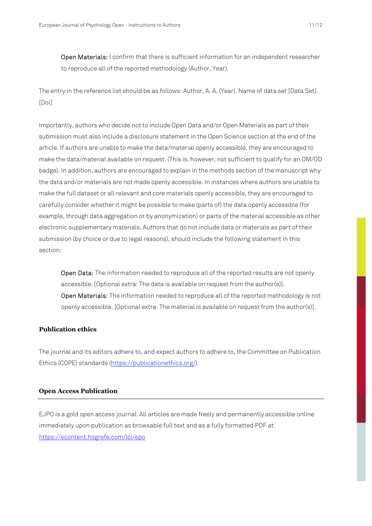Open Materials: I confirm that there is sufficient information for an independent researcher to reproduce all of the reported methodology (Author, Year).

The entry in the reference list should be as follows: Author, A. A. (Year). Name of data set [Data Set]. [Doi]

Importantly, authors who decide not to include Open Data and/or Open Materials as part of their submission must also include a disclosure statement in the Open Science section at the end of the article. If authors are unable to make the data/material openly accessible, they are encouraged to make the data/material available on request. (This is, however, not sufficient to qualify for an OM/OD badge). In addition, authors are encouraged to explain in the methods section of the manuscript why the data and/or materials are not made openly accessible. In instances where authors are unable to make the full dataset or all relevant and core materials openly accessible, they are encouraged to carefully consider whether it might be possible to make (parts of) the data openly accessible (for example, through data aggregation or by anonymization) or parts of the material accessible as other electronic supplementary materials. Authors that do not include data or materials as part of their submission (by choice or due to legal reasons), should include the following statement in this section:

Open Data: The information needed to reproduce all of the reported results are not openly accessible. [Optional extra: The data is available on request from the author(s)]. Open Materials: The information needed to reproduce all of the reported methodology is not openly accessible. [Optional extra: The material is available on request from the author(s)].

#### **Publication ethics**

The journal and its editors adhere to, and expect authors to adhere to, the Committee on Publication Ethics (COPE) standards (https://publicationethics.org/).

#### **Open Access Publication**

EJPO is a gold open access journal. All articles are made freely and permanently accessible online immediately upon publication as browsable full text and as a fully formatted PDF at https://econtent.hogrefe.com/loi/epo